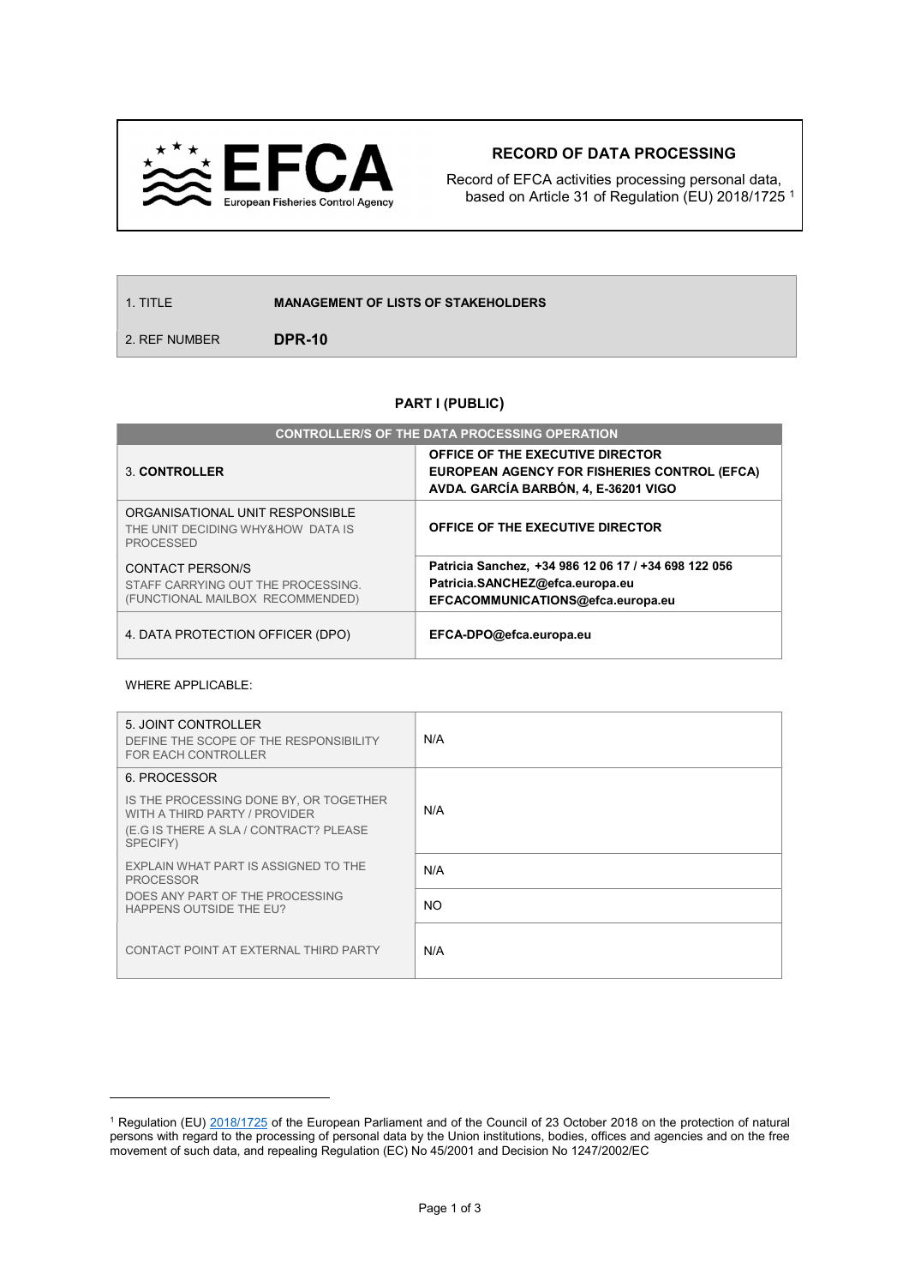

## RECORD OF DATA PROCESSING

Record of EFCA activities processing personal data, based on Article 31 of Regulation (EU) 2018/1725 <sup>1</sup>

1. TITLE **MANAGEMENT OF LISTS OF STAKEHOLDERS** 

2. REF NUMBER **DPR-10** 

## PART I (PUBLIC)

| <b>CONTROLLER/S OF THE DATA PROCESSING OPERATION</b>                                       |                                                                                                                              |  |
|--------------------------------------------------------------------------------------------|------------------------------------------------------------------------------------------------------------------------------|--|
| 3. CONTROLLER                                                                              | OFFICE OF THE EXECUTIVE DIRECTOR<br>EUROPEAN AGENCY FOR FISHERIES CONTROL (EFCA)<br>AVDA. GARCÍA BARBÓN, 4, E-36201 VIGO     |  |
| ORGANISATIONAL UNIT RESPONSIBLE<br>THE UNIT DECIDING WHY&HOW DATA IS<br><b>PROCESSED</b>   | OFFICE OF THE EXECUTIVE DIRECTOR                                                                                             |  |
| CONTACT PERSON/S<br>STAFF CARRYING OUT THE PROCESSING.<br>(FUNCTIONAL MAILBOX RECOMMENDED) | Patricia Sanchez, +34 986 12 06 17 / +34 698 122 056<br>Patricia.SANCHEZ@efca.europa.eu<br>EFCACOMMUNICATIONS@efca.europa.eu |  |
| 4. DATA PROTECTION OFFICER (DPO)                                                           | EFCA-DPO@efca.europa.eu                                                                                                      |  |

## WHERE APPLICABLE:

 $\overline{a}$ 

| 5. JOINT CONTROLLER<br>DEFINE THE SCOPE OF THE RESPONSIBILITY<br><b>FOR EACH CONTROLLER</b>                                                   | N/A       |
|-----------------------------------------------------------------------------------------------------------------------------------------------|-----------|
| 6. PROCESSOR<br>IS THE PROCESSING DONE BY, OR TOGETHER<br>WITH A THIRD PARTY / PROVIDER<br>(E.G IS THERE A SLA / CONTRACT? PLEASE<br>SPECIFY) | N/A       |
| EXPLAIN WHAT PART IS ASSIGNED TO THE<br><b>PROCESSOR</b>                                                                                      | N/A       |
| DOES ANY PART OF THE PROCESSING<br>HAPPENS OUTSIDE THE EU?                                                                                    | <b>NO</b> |
| CONTACT POINT AT EXTERNAL THIRD PARTY                                                                                                         | N/A       |

<sup>&</sup>lt;sup>1</sup> Regulation (EU) 2018/1725 of the European Parliament and of the Council of 23 October 2018 on the protection of natural persons with regard to the processing of personal data by the Union institutions, bodies, offices and agencies and on the free movement of such data, and repealing Regulation (EC) No 45/2001 and Decision No 1247/2002/EC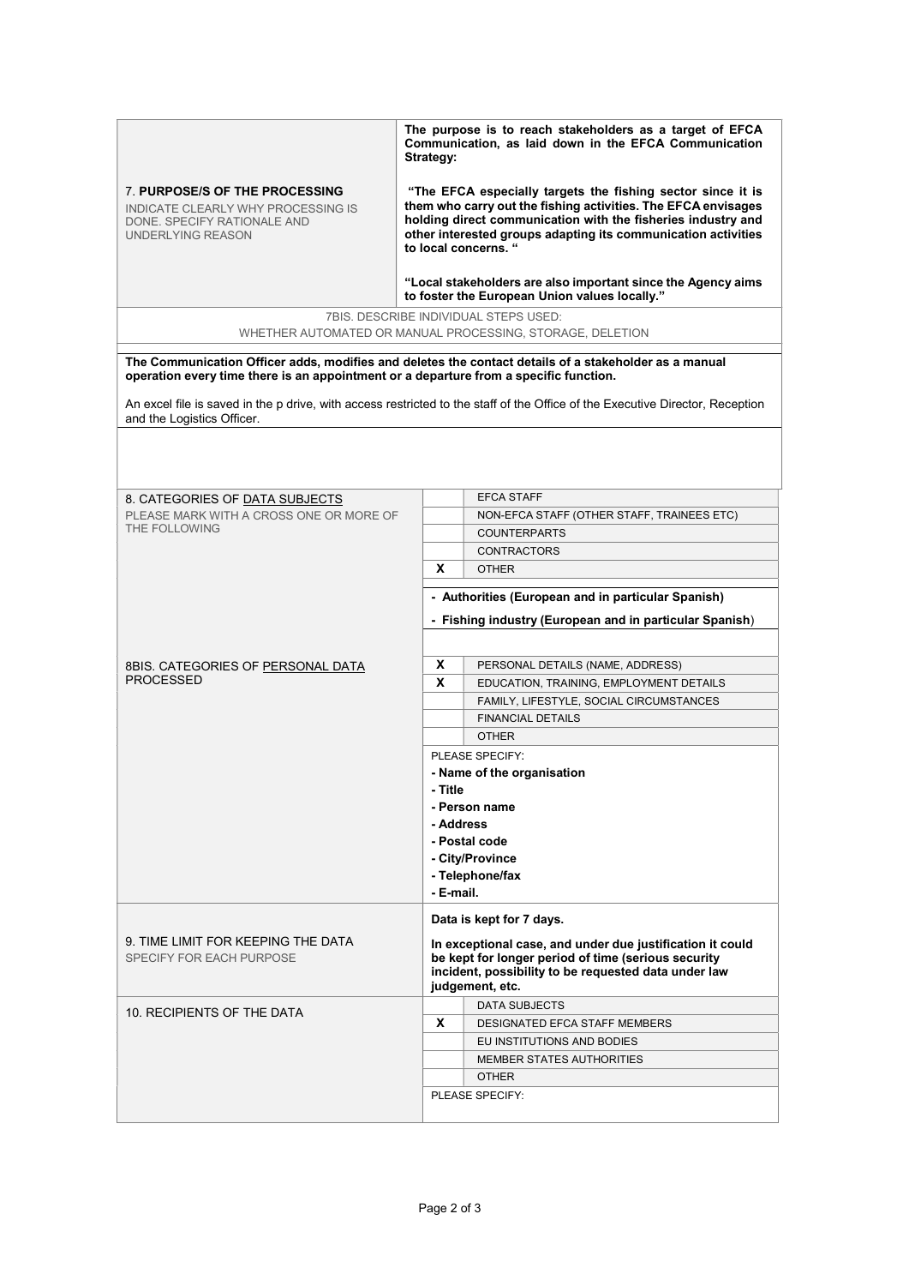|                                                                                                                          | The purpose is to reach stakeholders as a target of EFCA<br>Communication, as laid down in the EFCA Communication<br>Strategy:                                                                                                                                                        |
|--------------------------------------------------------------------------------------------------------------------------|---------------------------------------------------------------------------------------------------------------------------------------------------------------------------------------------------------------------------------------------------------------------------------------|
| 7. PURPOSE/S OF THE PROCESSING<br>INDICATE CLEARLY WHY PROCESSING IS<br>DONE, SPECIFY RATIONALE AND<br>UNDERLYING REASON | "The EFCA especially targets the fishing sector since it is<br>them who carry out the fishing activities. The EFCA envisages<br>holding direct communication with the fisheries industry and<br>other interested groups adapting its communication activities<br>to local concerns. " |

"Local stakeholders are also important since the Agency aims to foster the European Union values locally."

7BIS. DESCRIBE INDIVIDUAL STEPS USED: WHETHER AUTOMATED OR MANUAL PROCESSING, STORAGE, DELETION

The Communication Officer adds, modifies and deletes the contact details of a stakeholder as a manual operation every time there is an appointment or a departure from a specific function.

An excel file is saved in the p drive, with access restricted to the staff of the Office of the Executive Director, Reception and the Logistics Officer.

| 8. CATEGORIES OF DATA SUBJECTS                                 |                                                         | <b>EFCA STAFF</b>                                         |  |  |
|----------------------------------------------------------------|---------------------------------------------------------|-----------------------------------------------------------|--|--|
| PLEASE MARK WITH A CROSS ONE OR MORE OF                        |                                                         | NON-EFCA STAFF (OTHER STAFF, TRAINEES ETC)                |  |  |
| THE FOLLOWING                                                  |                                                         | <b>COUNTERPARTS</b>                                       |  |  |
|                                                                |                                                         | <b>CONTRACTORS</b>                                        |  |  |
|                                                                | X                                                       | <b>OTHER</b>                                              |  |  |
|                                                                |                                                         |                                                           |  |  |
|                                                                | - Authorities (European and in particular Spanish)      |                                                           |  |  |
|                                                                | - Fishing industry (European and in particular Spanish) |                                                           |  |  |
|                                                                |                                                         |                                                           |  |  |
| 8BIS. CATEGORIES OF PERSONAL DATA                              | x                                                       | PERSONAL DETAILS (NAME, ADDRESS)                          |  |  |
| PROCESSED                                                      | X                                                       | EDUCATION, TRAINING, EMPLOYMENT DETAILS                   |  |  |
|                                                                |                                                         | FAMILY, LIFESTYLE, SOCIAL CIRCUMSTANCES                   |  |  |
|                                                                |                                                         | <b>FINANCIAL DETAILS</b>                                  |  |  |
|                                                                |                                                         | <b>OTHER</b>                                              |  |  |
|                                                                |                                                         | PLEASE SPECIFY:                                           |  |  |
|                                                                | - Name of the organisation                              |                                                           |  |  |
|                                                                | - Title                                                 |                                                           |  |  |
|                                                                |                                                         | - Person name                                             |  |  |
|                                                                | - Address                                               |                                                           |  |  |
|                                                                |                                                         | - Postal code                                             |  |  |
|                                                                |                                                         | - City/Province                                           |  |  |
|                                                                |                                                         | - Telephone/fax                                           |  |  |
|                                                                | - E-mail.                                               |                                                           |  |  |
|                                                                |                                                         | Data is kept for 7 days.                                  |  |  |
| 9. TIME LIMIT FOR KEEPING THE DATA<br>SPECIFY FOR EACH PURPOSE |                                                         | In exceptional case, and under due justification it could |  |  |
|                                                                |                                                         | be kept for longer period of time (serious security       |  |  |
|                                                                |                                                         | incident, possibility to be requested data under law      |  |  |
|                                                                |                                                         | judgement, etc.                                           |  |  |
| 10. RECIPIENTS OF THE DATA                                     |                                                         | <b>DATA SUBJECTS</b>                                      |  |  |
|                                                                | X                                                       | <b>DESIGNATED EFCA STAFF MEMBERS</b>                      |  |  |
|                                                                |                                                         | EU INSTITUTIONS AND BODIES                                |  |  |
|                                                                |                                                         | MEMBER STATES AUTHORITIES                                 |  |  |
|                                                                |                                                         | <b>OTHER</b>                                              |  |  |
|                                                                |                                                         | PLEASE SPECIFY:                                           |  |  |
|                                                                |                                                         |                                                           |  |  |
|                                                                |                                                         |                                                           |  |  |